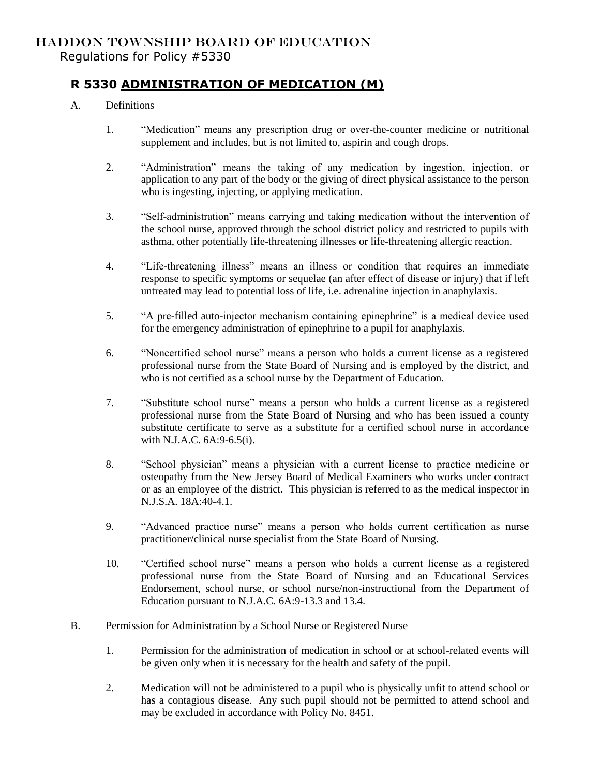## HADDON TOWNSHIP BOARD OF EDUCATION Regulations for Policy #5330

# **R 5330 ADMINISTRATION OF MEDICATION (M)**

- A. Definitions
	- 1. "Medication" means any prescription drug or over-the-counter medicine or nutritional supplement and includes, but is not limited to, aspirin and cough drops.
	- 2. "Administration" means the taking of any medication by ingestion, injection, or application to any part of the body or the giving of direct physical assistance to the person who is ingesting, injecting, or applying medication.
	- 3. "Self-administration" means carrying and taking medication without the intervention of the school nurse, approved through the school district policy and restricted to pupils with asthma, other potentially life-threatening illnesses or life-threatening allergic reaction.
	- 4. "Life-threatening illness" means an illness or condition that requires an immediate response to specific symptoms or sequelae (an after effect of disease or injury) that if left untreated may lead to potential loss of life, i.e. adrenaline injection in anaphylaxis.
	- 5. "A pre-filled auto-injector mechanism containing epinephrine" is a medical device used for the emergency administration of epinephrine to a pupil for anaphylaxis.
	- 6. "Noncertified school nurse" means a person who holds a current license as a registered professional nurse from the State Board of Nursing and is employed by the district, and who is not certified as a school nurse by the Department of Education.
	- 7. "Substitute school nurse" means a person who holds a current license as a registered professional nurse from the State Board of Nursing and who has been issued a county substitute certificate to serve as a substitute for a certified school nurse in accordance with N.J.A.C. 6A:9-6.5(i).
	- 8. "School physician" means a physician with a current license to practice medicine or osteopathy from the New Jersey Board of Medical Examiners who works under contract or as an employee of the district. This physician is referred to as the medical inspector in N.J.S.A. 18A:40-4.1.
	- 9. "Advanced practice nurse" means a person who holds current certification as nurse practitioner/clinical nurse specialist from the State Board of Nursing.
	- 10. "Certified school nurse" means a person who holds a current license as a registered professional nurse from the State Board of Nursing and an Educational Services Endorsement, school nurse, or school nurse/non-instructional from the Department of Education pursuant to N.J.A.C. 6A:9-13.3 and 13.4.
- B. Permission for Administration by a School Nurse or Registered Nurse
	- 1. Permission for the administration of medication in school or at school-related events will be given only when it is necessary for the health and safety of the pupil.
	- 2. Medication will not be administered to a pupil who is physically unfit to attend school or has a contagious disease. Any such pupil should not be permitted to attend school and may be excluded in accordance with Policy No. 8451.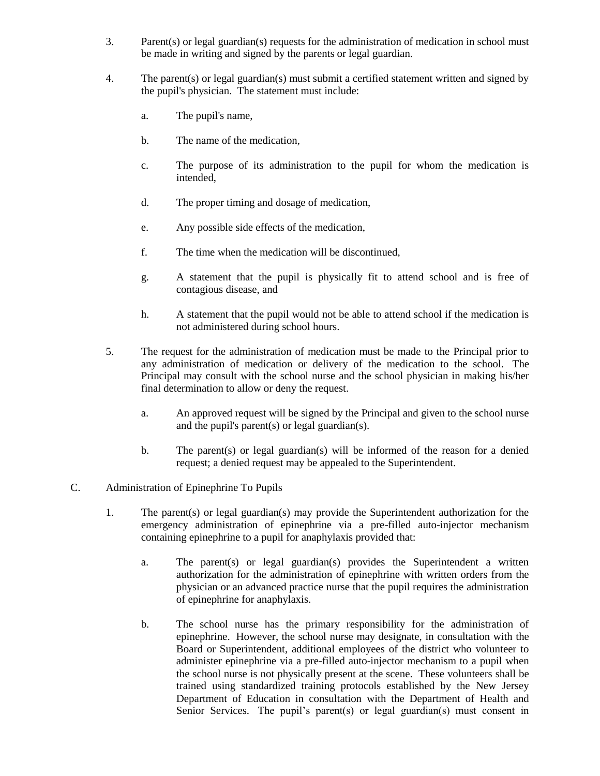- 3. Parent(s) or legal guardian(s) requests for the administration of medication in school must be made in writing and signed by the parents or legal guardian.
- 4. The parent(s) or legal guardian(s) must submit a certified statement written and signed by the pupil's physician. The statement must include:
	- a. The pupil's name,
	- b. The name of the medication,
	- c. The purpose of its administration to the pupil for whom the medication is intended,
	- d. The proper timing and dosage of medication,
	- e. Any possible side effects of the medication,
	- f. The time when the medication will be discontinued,
	- g. A statement that the pupil is physically fit to attend school and is free of contagious disease, and
	- h. A statement that the pupil would not be able to attend school if the medication is not administered during school hours.
- 5. The request for the administration of medication must be made to the Principal prior to any administration of medication or delivery of the medication to the school. The Principal may consult with the school nurse and the school physician in making his/her final determination to allow or deny the request.
	- a. An approved request will be signed by the Principal and given to the school nurse and the pupil's parent(s) or legal guardian(s).
	- b. The parent(s) or legal guardian(s) will be informed of the reason for a denied request; a denied request may be appealed to the Superintendent.

#### C. Administration of Epinephrine To Pupils

- 1. The parent(s) or legal guardian(s) may provide the Superintendent authorization for the emergency administration of epinephrine via a pre-filled auto-injector mechanism containing epinephrine to a pupil for anaphylaxis provided that:
	- a. The parent(s) or legal guardian(s) provides the Superintendent a written authorization for the administration of epinephrine with written orders from the physician or an advanced practice nurse that the pupil requires the administration of epinephrine for anaphylaxis.
	- b. The school nurse has the primary responsibility for the administration of epinephrine. However, the school nurse may designate, in consultation with the Board or Superintendent, additional employees of the district who volunteer to administer epinephrine via a pre-filled auto-injector mechanism to a pupil when the school nurse is not physically present at the scene. These volunteers shall be trained using standardized training protocols established by the New Jersey Department of Education in consultation with the Department of Health and Senior Services. The pupil's parent(s) or legal guardian(s) must consent in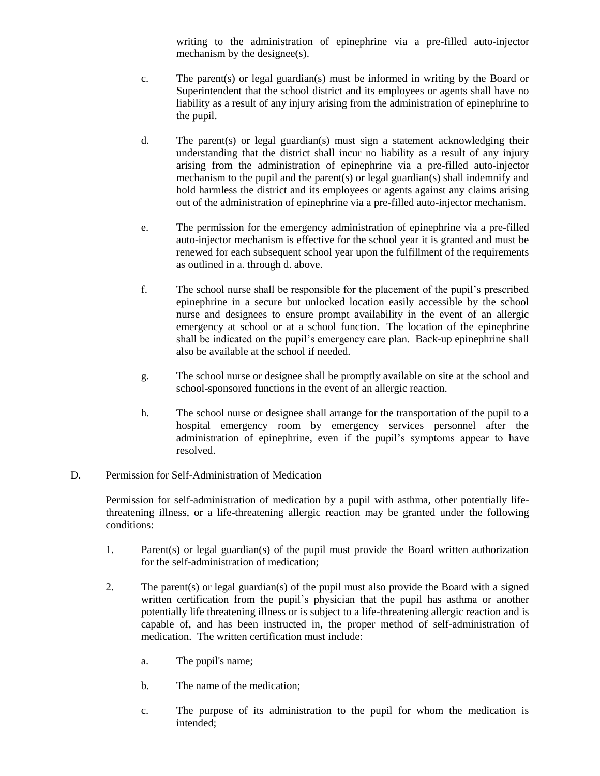writing to the administration of epinephrine via a pre-filled auto-injector mechanism by the designee(s).

- c. The parent(s) or legal guardian(s) must be informed in writing by the Board or Superintendent that the school district and its employees or agents shall have no liability as a result of any injury arising from the administration of epinephrine to the pupil.
- d. The parent(s) or legal guardian(s) must sign a statement acknowledging their understanding that the district shall incur no liability as a result of any injury arising from the administration of epinephrine via a pre-filled auto-injector mechanism to the pupil and the parent(s) or legal guardian(s) shall indemnify and hold harmless the district and its employees or agents against any claims arising out of the administration of epinephrine via a pre-filled auto-injector mechanism.
- e. The permission for the emergency administration of epinephrine via a pre-filled auto-injector mechanism is effective for the school year it is granted and must be renewed for each subsequent school year upon the fulfillment of the requirements as outlined in a. through d. above.
- f. The school nurse shall be responsible for the placement of the pupil's prescribed epinephrine in a secure but unlocked location easily accessible by the school nurse and designees to ensure prompt availability in the event of an allergic emergency at school or at a school function. The location of the epinephrine shall be indicated on the pupil's emergency care plan. Back-up epinephrine shall also be available at the school if needed.
- g. The school nurse or designee shall be promptly available on site at the school and school-sponsored functions in the event of an allergic reaction.
- h. The school nurse or designee shall arrange for the transportation of the pupil to a hospital emergency room by emergency services personnel after the administration of epinephrine, even if the pupil's symptoms appear to have resolved.

#### D. Permission for Self-Administration of Medication

Permission for self-administration of medication by a pupil with asthma, other potentially lifethreatening illness, or a life-threatening allergic reaction may be granted under the following conditions:

- 1. Parent(s) or legal guardian(s) of the pupil must provide the Board written authorization for the self-administration of medication;
- 2. The parent(s) or legal guardian(s) of the pupil must also provide the Board with a signed written certification from the pupil's physician that the pupil has asthma or another potentially life threatening illness or is subject to a life-threatening allergic reaction and is capable of, and has been instructed in, the proper method of self-administration of medication. The written certification must include:
	- a. The pupil's name;
	- b. The name of the medication;
	- c. The purpose of its administration to the pupil for whom the medication is intended;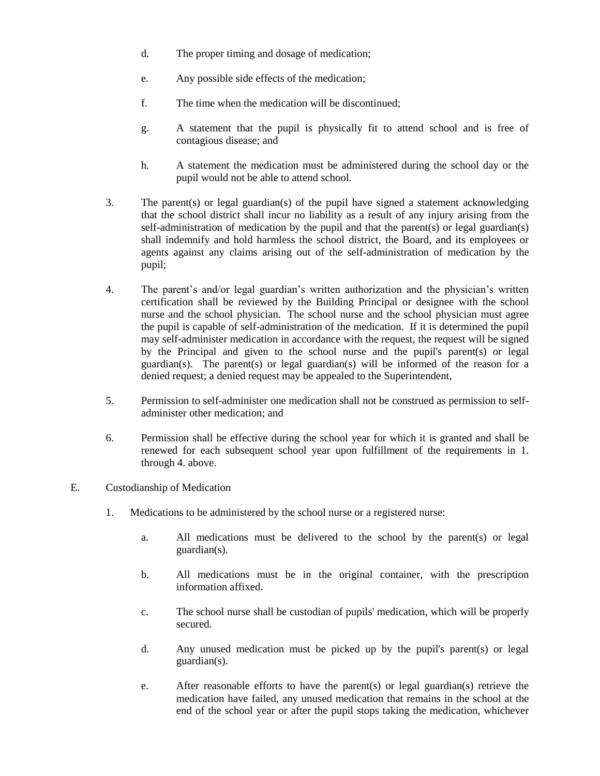- d. The proper timing and dosage of medication;
- e. Any possible side effects of the medication;
- f. The time when the medication will be discontinued;
- g. A statement that the pupil is physically fit to attend school and is free of contagious disease; and
- h. A statement the medication must be administered during the school day or the pupil would not be able to attend school.
- 3. The parent(s) or legal guardian(s) of the pupil have signed a statement acknowledging that the school district shall incur no liability as a result of any injury arising from the self-administration of medication by the pupil and that the parent(s) or legal guardian(s) shall indemnify and hold harmless the school district, the Board, and its employees or agents against any claims arising out of the self-administration of medication by the pupil;
- 4. The parent's and/or legal guardian's written authorization and the physician's written certification shall be reviewed by the Building Principal or designee with the school nurse and the school physician. The school nurse and the school physician must agree the pupil is capable of self-administration of the medication. If it is determined the pupil may self-administer medication in accordance with the request, the request will be signed by the Principal and given to the school nurse and the pupil's parent(s) or legal guardian(s). The parent(s) or legal guardian(s) will be informed of the reason for a denied request; a denied request may be appealed to the Superintendent,
- 5. Permission to self-administer one medication shall not be construed as permission to selfadminister other medication; and
- 6. Permission shall be effective during the school year for which it is granted and shall be renewed for each subsequent school year upon fulfillment of the requirements in 1. through 4. above.
- E. Custodianship of Medication
	- 1. Medications to be administered by the school nurse or a registered nurse:
		- a. All medications must be delivered to the school by the parent(s) or legal guardian(s).
		- b. All medications must be in the original container, with the prescription information affixed.
		- c. The school nurse shall be custodian of pupils' medication, which will be properly secured.
		- d. Any unused medication must be picked up by the pupil's parent(s) or legal guardian(s).
		- e. After reasonable efforts to have the parent(s) or legal guardian(s) retrieve the medication have failed, any unused medication that remains in the school at the end of the school year or after the pupil stops taking the medication, whichever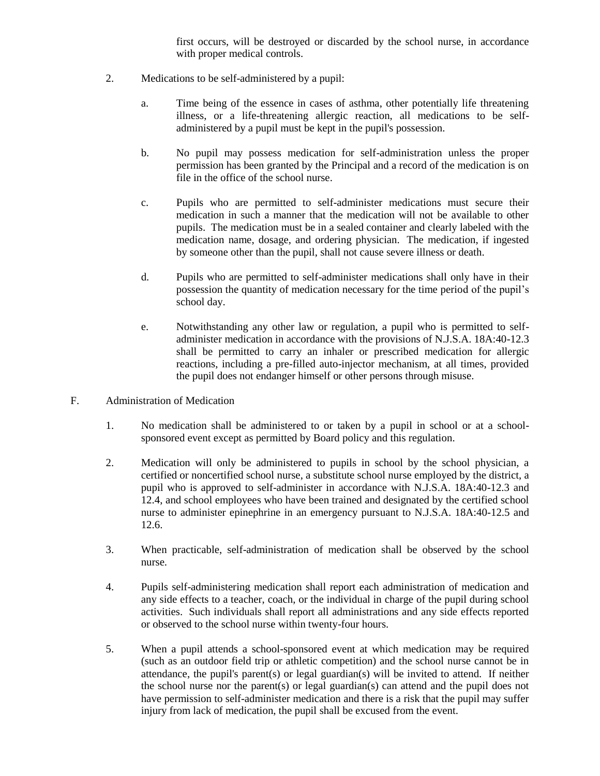first occurs, will be destroyed or discarded by the school nurse, in accordance with proper medical controls.

- 2. Medications to be self-administered by a pupil:
	- a. Time being of the essence in cases of asthma, other potentially life threatening illness, or a life-threatening allergic reaction, all medications to be selfadministered by a pupil must be kept in the pupil's possession.
	- b. No pupil may possess medication for self-administration unless the proper permission has been granted by the Principal and a record of the medication is on file in the office of the school nurse.
	- c. Pupils who are permitted to self-administer medications must secure their medication in such a manner that the medication will not be available to other pupils. The medication must be in a sealed container and clearly labeled with the medication name, dosage, and ordering physician. The medication, if ingested by someone other than the pupil, shall not cause severe illness or death.
	- d. Pupils who are permitted to self-administer medications shall only have in their possession the quantity of medication necessary for the time period of the pupil's school day.
	- e. Notwithstanding any other law or regulation, a pupil who is permitted to selfadminister medication in accordance with the provisions of N.J.S.A. 18A:40-12.3 shall be permitted to carry an inhaler or prescribed medication for allergic reactions, including a pre-filled auto-injector mechanism, at all times, provided the pupil does not endanger himself or other persons through misuse.
- F. Administration of Medication
	- 1. No medication shall be administered to or taken by a pupil in school or at a schoolsponsored event except as permitted by Board policy and this regulation.
	- 2. Medication will only be administered to pupils in school by the school physician, a certified or noncertified school nurse, a substitute school nurse employed by the district, a pupil who is approved to self-administer in accordance with N.J.S.A. 18A:40-12.3 and 12.4, and school employees who have been trained and designated by the certified school nurse to administer epinephrine in an emergency pursuant to N.J.S.A. 18A:40-12.5 and 12.6.
	- 3. When practicable, self-administration of medication shall be observed by the school nurse.
	- 4. Pupils self-administering medication shall report each administration of medication and any side effects to a teacher, coach, or the individual in charge of the pupil during school activities. Such individuals shall report all administrations and any side effects reported or observed to the school nurse within twenty-four hours.
	- 5. When a pupil attends a school-sponsored event at which medication may be required (such as an outdoor field trip or athletic competition) and the school nurse cannot be in attendance, the pupil's parent(s) or legal guardian(s) will be invited to attend. If neither the school nurse nor the parent(s) or legal guardian(s) can attend and the pupil does not have permission to self-administer medication and there is a risk that the pupil may suffer injury from lack of medication, the pupil shall be excused from the event.